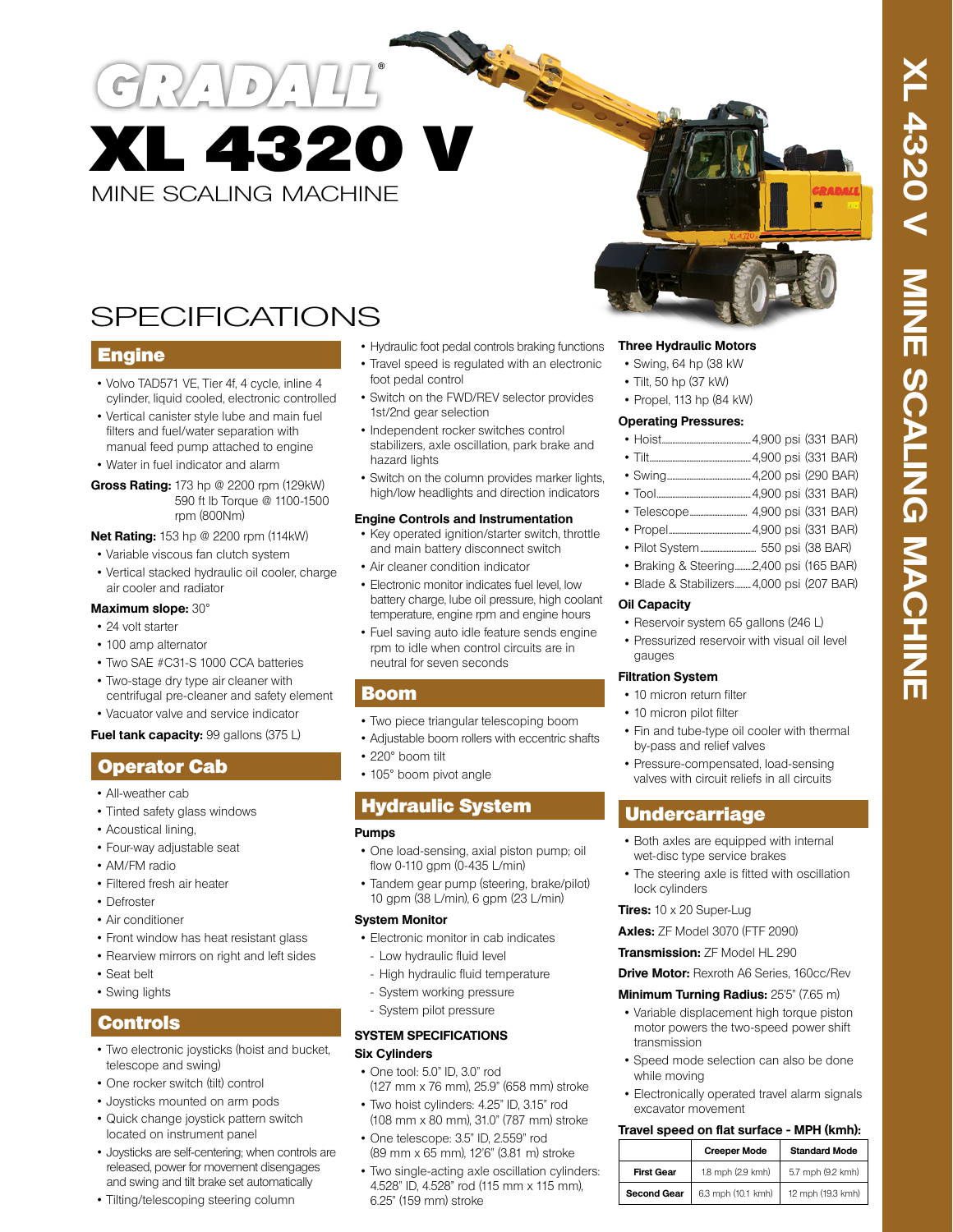

# SPECIFICATIONS

## **Engine**

- Volvo TAD571 VE, Tier 4f, 4 cycle, inline 4 cylinder, liquid cooled, electronic controlled
- Vertical canister style lube and main fuel filters and fuel/water separation with manual feed pump attached to engine • Water in fuel indicator and alarm
- **Gross Rating:** 173 hp @ 2200 rpm (129kW) 590 ft lb Torque @ 1100-1500 rpm (800Nm)

#### **Net Rating:** 153 hp @ 2200 rpm (114kW)

- Variable viscous fan clutch system
- Vertical stacked hydraulic oil cooler, charge air cooler and radiator

#### **Maximum slope:** 30°

- 24 volt starter
- 100 amp alternator
- Two SAE #C31-S 1000 CCA batteries
- Two-stage dry type air cleaner with centrifugal pre-cleaner and safety element
- Vacuator valve and service indicator

#### **Fuel tank capacity:** 99 gallons (375 L)

## **Operator Cab**

- All-weather cab
- Tinted safety glass windows
- Acoustical lining,
- Four-way adjustable seat
- AM/FM radio
- Filtered fresh air heater
- Defroster
- Air conditioner
- Front window has heat resistant glass
- Rearview mirrors on right and left sides
- Seat belt
- Swing lights

## Controls

- Two electronic joysticks (hoist and bucket, telescope and swing)
- One rocker switch (tilt) control
- Joysticks mounted on arm pods
- Quick change joystick pattern switch located on instrument panel
- Joysticks are self-centering; when controls are released, power for movement disengages and swing and tilt brake set automatically
- Tilting/telescoping steering column
- Hydraulic foot pedal controls braking functions
- Travel speed is regulated with an electronic foot pedal control
- Switch on the FWD/REV selector provides 1st/2nd gear selection
- Independent rocker switches control stabilizers, axle oscillation, park brake and hazard lights
- Switch on the column provides marker lights, high/low headlights and direction indicators

#### **Engine Controls and Instrumentation**

- Key operated ignition/starter switch, throttle and main battery disconnect switch
- Air cleaner condition indicator
- Electronic monitor indicates fuel level, low battery charge, lube oil pressure, high coolant temperature, engine rpm and engine hours
- Fuel saving auto idle feature sends engine rpm to idle when control circuits are in neutral for seven seconds

## Boom

- Two piece triangular telescoping boom
- Adjustable boom rollers with eccentric shafts
- 220° boom tilt
- 105° boom pivot angle

# Hydraulic System

### **Pumps**

- One load-sensing, axial piston pump; oil flow 0-110 gpm (0-435 L/min)
- Tandem gear pump (steering, brake/pilot) 10 gpm (38 L/min), 6 gpm (23 L/min)

### **System Monitor**

- Electronic monitor in cab indicates
- Low hydraulic fluid level
- High hydraulic fluid temperature
- System working pressure
- System pilot pressure

### **SYSTEM SPECIFICATIONS Six Cylinders**

- One tool: 5.0" ID, 3.0" rod (127 mm x 76 mm), 25.9" (658 mm) stroke
- Two hoist cylinders: 4.25" ID, 3.15" rod (108 mm x 80 mm), 31.0" (787 mm) stroke
- One telescope: 3.5" ID, 2.559" rod (89 mm x 65 mm), 12'6" (3.81 m) stroke
- Two single-acting axle oscillation cylinders: 4.528" ID, 4.528" rod (115 mm x 115 mm), 6.25" (159 mm) stroke

## **Three Hydraulic Motors**

- Swing, 64 hp (38 kW
- Tilt, 50 hp (37 kW)
- Propel, 113 hp (84 kW)

### **Operating Pressures:**

- Hoist...................................................4,900 psi (331 BAR)
- Tilt..........................................................4,900 psi (331 BAR)
- Swing................................................4,200 psi (290 BAR)
- Tool......................................................4,900 psi (331 BAR)
- Telescope................................. 4,900 psi (331 BAR)
- Propel...............................................4,900 psi (331 BAR)
- Pilot System................................ 550 psi (38 BAR)
- Braking & Steering..........2,400 psi (165 BAR)
- Blade & Stabilizers.........4,000 psi (207 BAR)

## **Oil Capacity**

- Reservoir system 65 gallons (246 L)
- Pressurized reservoir with visual oil level gauges

### **Filtration System**

- 10 micron return filter
- 10 micron pilot filter
- Fin and tube-type oil cooler with thermal by-pass and relief valves
- Pressure-compensated, load-sensing valves with circuit reliefs in all circuits

# **Undercarriage**

- Both axles are equipped with internal wet-disc type service brakes
- The steering axle is fitted with oscillation lock cylinders
- **Tires:** 10 x 20 Super-Lug

**Axles:** ZF Model 3070 (FTF 2090)

**Transmission:** ZF Model HL 290

**Drive Motor:** Rexroth A6 Series, 160cc/Rev

### **Minimum Turning Radius:** 25'5" (7.65 m)

- Variable displacement high torque piston motor powers the two-speed power shift transmission
- Speed mode selection can also be done while moving
- Electronically operated travel alarm signals excavator movement **Travel speed on flat surface - MPH (kmh):**

**First Gear** 1.8 mph (2.9 kmh) 5.7 mph (9.2 kmh) **Second Gear** | 6.3 mph (10.1 kmh) | 12 mph (19.3 kmh)

**Creeper Mode** Standard Mode